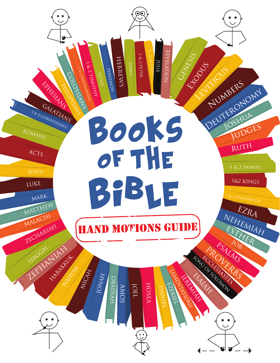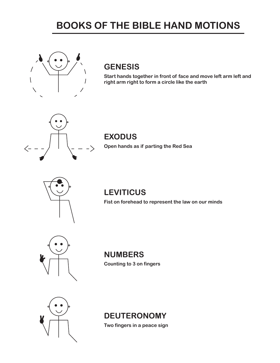# **BOOKS OF THE BIBLE HAND MOTIONS**



### **GENESIS**

**Start hands together in front of face and move left arm left and right arm right to form a circle like the earth**



#### **EXODUS**

**Open hands as if parting the Red Sea**



## **LEVITICUS**

**Fist on forehead to represent the law on our minds**



**NUMBERS Counting to 3 on fingers**



## **DEUTERONOMY**

**Two fingers in a peace sign**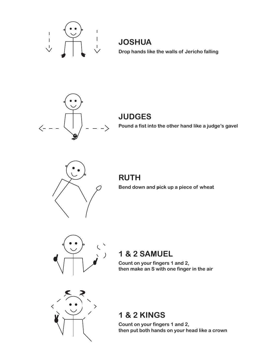

**JOSHUA Drop hands like the walls of Jericho falling**



#### **JUDGES**

**Pound a fist into the other hand like a judge's gavel**



**RUTH Bend down and pick up a piece of wheat**



### **1 & 2 SAMUEL**

**Count on your fingers 1 and 2, then make an S with one finger in the air**



## **1 & 2 KINGS**

**Count on your fingers 1 and 2, then put both hands on your head like a crown**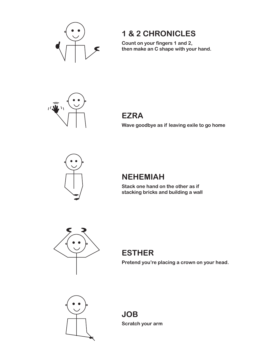

## **1 & 2 CHRONICLES**

**Count on your fingers 1 and 2, then make an C shape with your hand.**



# **EZRA**

**Wave goodbye as if leaving exile to go home**



#### **NEHEMIAH**

**Stack one hand on the other as if stacking bricks and building a wall**



# **ESTHER**

**Pretend you're placing a crown on your head.**



**JOB Scratch your arm**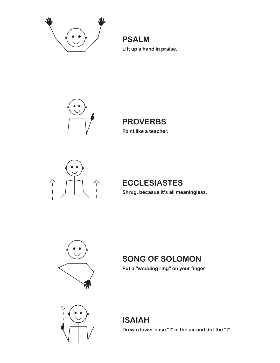

**PSALM Lift up a hand in praise.**



# **PROVERBS**

**Point like a teacher.**



## **ECCLESIASTES**

**Shrug, becasue it's all meaningless.**



## **SONG OF SOLOMON**

**Put a "wedding ring" on your finger**



**ISAIAH Draw a lower case "I" in the air and dot the "I"**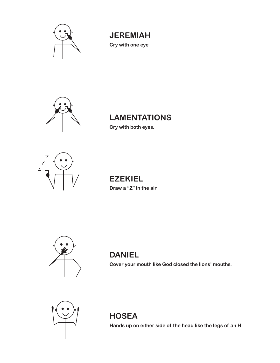

**JEREMIAH Cry with one eye**



# **LAMENTATIONS**

**Cry with both eyes.**



**EZEKIEL Draw a "Z" in the air**



### **DANIEL**

**Cover your mouth like God closed the lions' mouths.**



**HOSEA**

**Hands up on either side of the head like the legs of an H**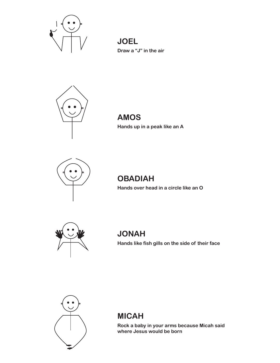

**JOEL Draw a "J" in the air**



**AMOS Hands up in a peak like an A**



## **OBADIAH**

**Hands over head in a circle like an O**



# **JONAH**

**Hands like fish gills on the side of their face**



#### **MICAH**

**Rock a baby in your arms because Micah said where Jesus would be born**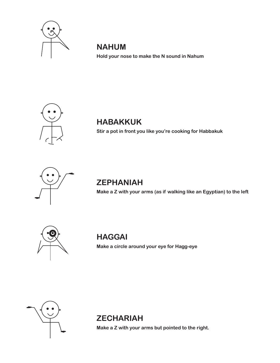

### **NAHUM**

**Hold your nose to make the N sound in Nahum**



## **HABAKKUK**

**Stir a pot in front you like you're cooking for Habbakuk**



## **ZEPHANIAH**

**Make a Z with your arms (as if walking like an Egyptian) to the left**



### **HAGGAI**

**Make a circle around your eye for Hagg-eye**



### **ZECHARIAH**

**Make a Z with your arms but pointed to the right.**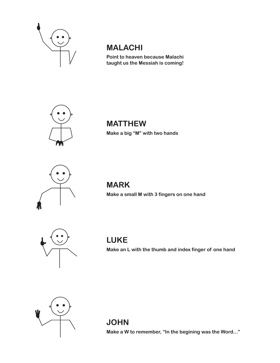

## **MALACHI**

**Point to heaven because Malachi taught us the Messiah is coming!**



#### **MATTHEW Make a big "M" with two hands**



#### **MARK Make a small M with 3 fingers on one hand**



#### **LUKE**

**Make an L with the thumb and index finger of one hand**



#### **JOHN**

**Make a W to remember, "In the begining was the Word..."**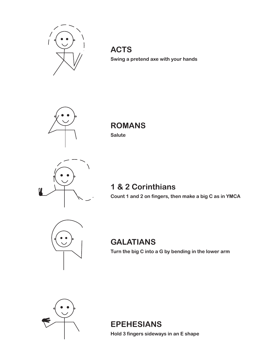

**ACTS Swing a pretend axe with your hands**



**ROMANS Salute**



### **1 & 2 Corinthians**

**Count 1 and 2 on fingers, then make a big C as in YMCA**



## **GALATIANS**

**Turn the big C into a G by bending in the lower arm**



**EPEHESIANS**

**Hold 3 fingers sideways in an E shape**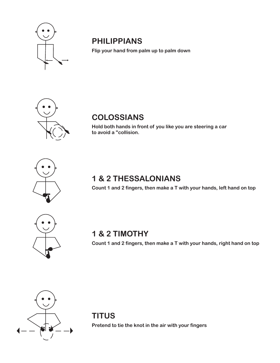

## **PHILIPPIANS**

**Flip your hand from palm up to palm down**



## **COLOSSIANS**

**Hold both hands in front of you like you are steering a car to avoid a "collision.**



## **1 & 2 THESSALONIANS**

**Count 1 and 2 fingers, then make a T with your hands, left hand on top**



### **1 & 2 TIMOTHY**

**Count 1 and 2 fingers, then make a T with your hands, right hand on top**



## **TITUS**

**Pretend to tie the knot in the air with your fingers**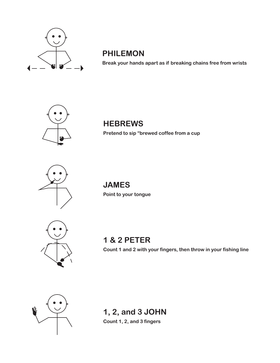

## **PHILEMON**

**Break your hands apart as if breaking chains free from wrists**



### **HEBREWS**

**Pretend to sip "brewed coffee from a cup** 



**JAMES Point to your tongue**



**1 & 2 PETER**

**Count 1 and 2 with your fingers, then throw in your fishing line**



#### **1, 2, and 3 JOHN Count 1, 2, and 3 fingers**